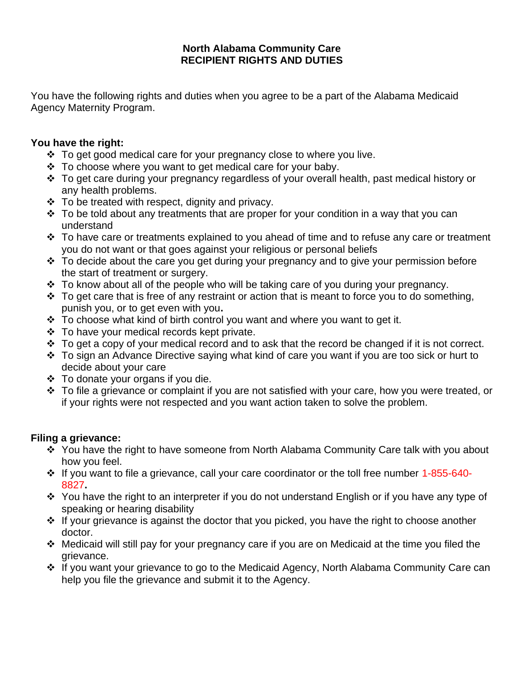## **North Alabama Community Care RECIPIENT RIGHTS AND DUTIES**

You have the following rights and duties when you agree to be a part of the Alabama Medicaid Agency Maternity Program.

# **You have the right:**

- ❖ To get good medical care for your pregnancy close to where you live.
- ❖ To choose where you want to get medical care for your baby.
- ❖ To get care during your pregnancy regardless of your overall health, past medical history or any health problems.
- $\div$  To be treated with respect, dignity and privacy.
- ❖ To be told about any treatments that are proper for your condition in a way that you can understand
- $\div$  To have care or treatments explained to you ahead of time and to refuse any care or treatment you do not want or that goes against your religious or personal beliefs
- ❖ To decide about the care you get during your pregnancy and to give your permission before the start of treatment or surgery.
- ❖ To know about all of the people who will be taking care of you during your pregnancy.
- $\cdot \cdot$  To get care that is free of any restraint or action that is meant to force you to do something, punish you, or to get even with you**.**
- ❖ To choose what kind of birth control you want and where you want to get it.
- ❖ To have your medical records kept private.
- ❖ To get a copy of your medical record and to ask that the record be changed if it is not correct.
- ❖ To sign an Advance Directive saying what kind of care you want if you are too sick or hurt to decide about your care
- $\div$  To donate your organs if you die.
- ❖ To file a grievance or complaint if you are not satisfied with your care, how you were treated, or if your rights were not respected and you want action taken to solve the problem.

# **Filing a grievance:**

- ❖ You have the right to have someone from North Alabama Community Care talk with you about how you feel.
- ❖ If you want to file a grievance, call your care coordinator or the toll free number 1-855-640- 8827**.**
- ❖ You have the right to an interpreter if you do not understand English or if you have any type of speaking or hearing disability
- ❖ If your grievance is against the doctor that you picked, you have the right to choose another doctor.
- ❖ Medicaid will still pay for your pregnancy care if you are on Medicaid at the time you filed the grievance.
- ❖ If you want your grievance to go to the Medicaid Agency, North Alabama Community Care can help you file the grievance and submit it to the Agency.